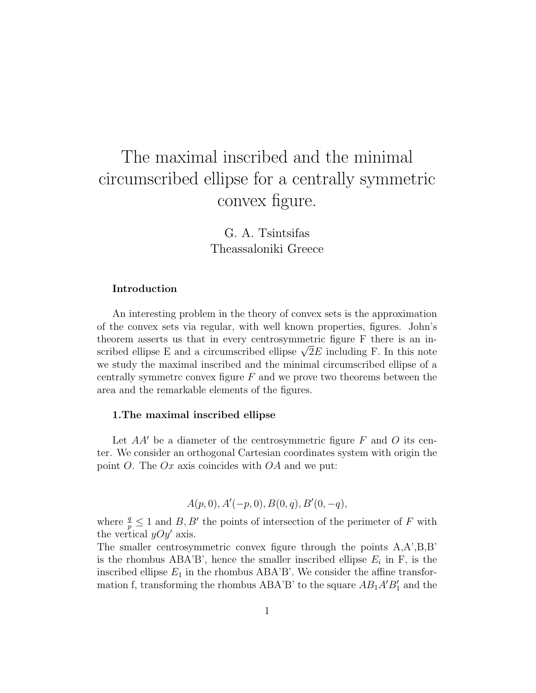# The maximal inscribed and the minimal circumscribed ellipse for a centrally symmetric convex figure.

G. A. Tsintsifas Theassaloniki Greece

#### Introduction

An interesting problem in the theory of convex sets is the approximation of the convex sets via regular, with well known properties, figures. John's theorem asserts us that in every centrosymmetric figure F there is an intheorem asserts us that in every centrosymmetric figure F there is an inseribed ellipse E and a circumscribed ellipse  $\sqrt{2}E$  including F. In this note we study the maximal inscribed and the minimal circumscribed ellipse of a centrally symmetric convex figure  $F$  and we prove two theorems between the area and the remarkable elements of the figures.

#### 1.The maximal inscribed ellipse

Let  $AA'$  be a diameter of the centrosymmetric figure F and O its center. We consider an orthogonal Cartesian coordinates system with origin the point O. The  $Ox$  axis coincides with  $OA$  and we put:

$$
A(p, 0), A'(-p, 0), B(0, q), B'(0, -q),
$$

where  $\frac{q}{p} \leq 1$  and  $B, B'$  the points of intersection of the perimeter of F with the vertical  $yOy'$  axis.

The smaller centrosymmetric convex figure through the points A,A',B,B' is the rhombus  $ABA'B'$ , hence the smaller inscribed ellipse  $E_i$  in F, is the inscribed ellipse  $E_1$  in the rhombus ABA'B'. We consider the affine transformation f, transforming the rhombus ABA'B' to the square  $AB_1A'B'_1$  and the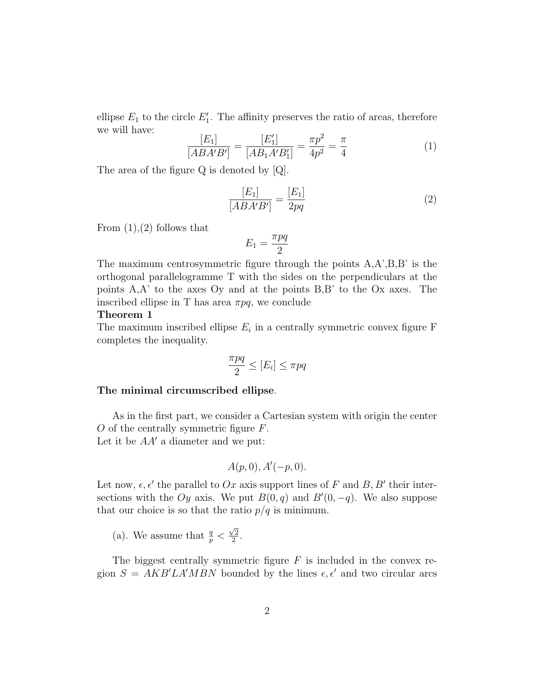ellipse  $E_1$  to the circle  $E'_1$ . The affinity preserves the ratio of areas, therefore we will have:

$$
\frac{[E_1]}{[ABA'B']} = \frac{[E_1']}{[AB_1A'B_1']} = \frac{\pi p^2}{4p^2} = \frac{\pi}{4}
$$
 (1)

The area of the figure Q is denoted by [Q].

$$
\frac{[E_1]}{[ABA'B']} = \frac{[E_1]}{2pq} \tag{2}
$$

From  $(1)$ , $(2)$  follows that

$$
E_1=\frac{\pi pq}{2}
$$

The maximum centrosymmetric figure through the points A,A',B,B' is the orthogonal parallelogramme T with the sides on the perpendiculars at the points A,A' to the axes Oy and at the points B,B' to the Ox axes. The inscribed ellipse in T has area  $\pi pq$ , we conclude

#### Theorem 1

The maximum inscribed ellipse  $E_i$  in a centrally symmetric convex figure F completes the inequality.

$$
\frac{\pi pq}{2} \le [E_i] \le \pi pq
$$

#### The minimal circumscribed ellipse.

As in the first part, we consider a Cartesian system with origin the center O of the centrally symmetric figure F. Let it be  $AA'$  a diameter and we put:

$$
A(p,0), A'(-p,0).
$$

Let now,  $\epsilon, \epsilon'$  the parallel to Ox axis support lines of F and B, B' their intersections with the Oy axis. We put  $B(0, q)$  and  $B'(0, -q)$ . We also suppose that our choice is so that the ratio  $p/q$  is minimum.

(a). We assume that  $\frac{q}{p}$  <  $\sqrt{2}$  $\frac{2}{2}$ .

The biggest centrally symmetric figure  $F$  is included in the convex region  $S = AKB'LA'MBN$  bounded by the lines  $\epsilon, \epsilon'$  and two circular arcs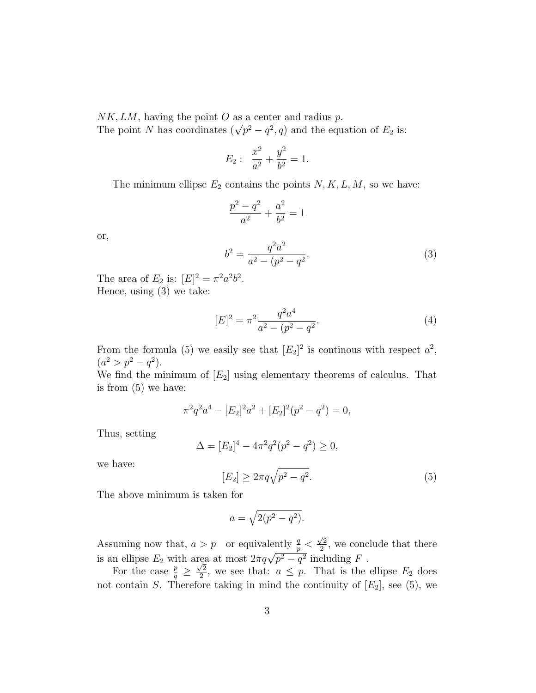$NK, LM$ , having the point O as a center and radius p. The point N has coordinates  $(\sqrt{p^2-q^2}, q)$  and the equation of  $E_2$  is:

$$
E_2: \ \frac{x^2}{a^2} + \frac{y^2}{b^2} = 1.
$$

The minimum ellipse  $E_2$  contains the points  $N, K, L, M$ , so we have:

$$
\frac{p^2 - q^2}{a^2} + \frac{a^2}{b^2} = 1
$$

or,

$$
b^2 = \frac{q^2 a^2}{a^2 - (p^2 - q^2)}.
$$
\n(3)

The area of  $E_2$  is:  $[E]^2 = \pi^2 a^2 b^2$ . Hence, using (3) we take:

$$
[E]^2 = \pi^2 \frac{q^2 a^4}{a^2 - (p^2 - q^2)}.
$$
\n<sup>(4)</sup>

From the formula (5) we easily see that  $[E_2]^2$  is continuous with respect  $a^2$ ,  $(a^2 > p^2 - q^2).$ 

We find the minimum of  $[E_2]$  using elementary theorems of calculus. That is from (5) we have:

$$
\pi^2 q^2 a^4 - [E_2]^2 a^2 + [E_2]^2 (p^2 - q^2) = 0,
$$

Thus, setting

$$
\Delta = [E_2]^4 - 4\pi^2 q^2 (p^2 - q^2) \ge 0,
$$

we have:

$$
[E_2] \ge 2\pi q \sqrt{p^2 - q^2}.\tag{5}
$$

The above minimum is taken for

$$
a = \sqrt{2(p^2 - q^2)}.
$$

Assuming now that,  $a > p$  or equivalently  $\frac{q}{p}$  $\sqrt{2}$ Assuming now that,  $a > p$  or equivalently  $\frac{q}{p} < \frac{\sqrt{2}}{2}$ , we conclude that there is an ellipse  $E_2$  with area at most  $2\pi q\sqrt{p^2 - q^2}$  including F.  $rac{1}{\sqrt{2}}$ 

For the case  $\frac{p}{q} \geq$  $\frac{\sqrt{2}}{2}$ , we see that:  $a \leq p$ . That is the ellipse  $E_2$  does not contain S. Therefore taking in mind the continuity of  $[E_2]$ , see (5), we